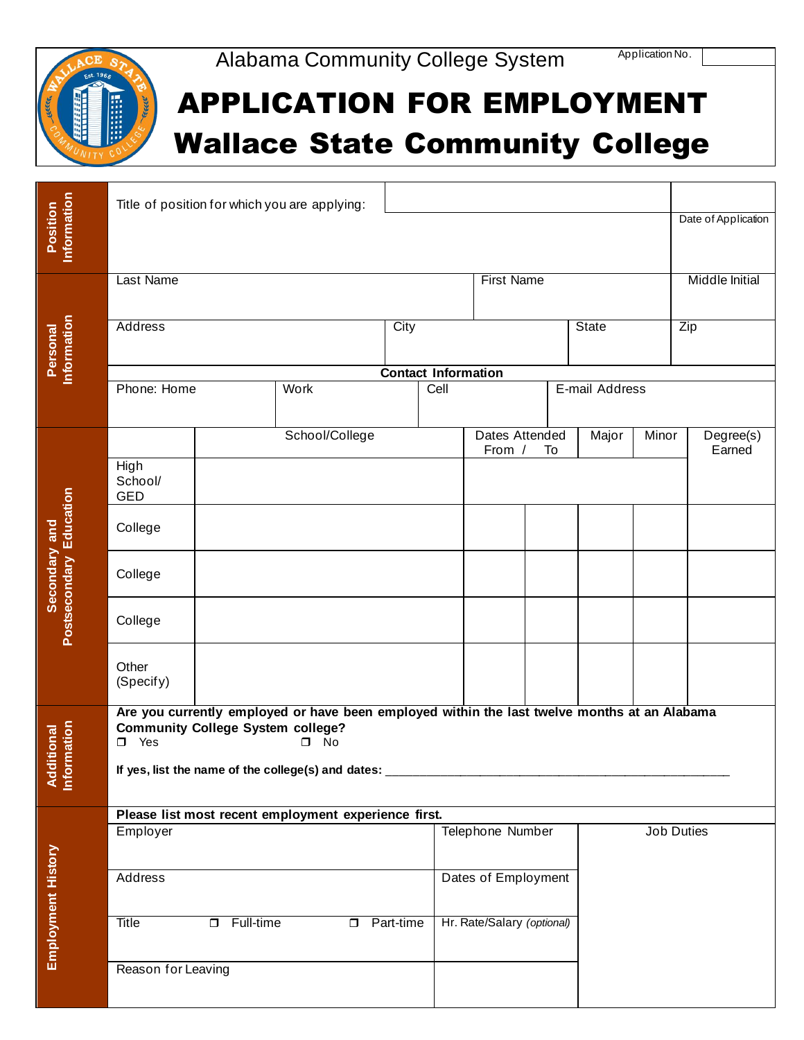



## APPLICATION FOR EMPLOYMENT Wallace State Community College

| Information<br>Position                           |                                                                                                                                                                           |                  | Title of position for which you are applying: |                    |                            |                            |    |                |       | Date of Application   |
|---------------------------------------------------|---------------------------------------------------------------------------------------------------------------------------------------------------------------------------|------------------|-----------------------------------------------|--------------------|----------------------------|----------------------------|----|----------------|-------|-----------------------|
|                                                   |                                                                                                                                                                           |                  |                                               |                    |                            |                            |    |                |       |                       |
| Information<br>Personal                           | Last Name                                                                                                                                                                 |                  |                                               |                    |                            | <b>First Name</b>          |    |                |       | <b>Middle Initial</b> |
|                                                   | <b>Address</b>                                                                                                                                                            |                  |                                               | City               |                            |                            |    | <b>State</b>   | Zip   |                       |
|                                                   |                                                                                                                                                                           |                  |                                               |                    | <b>Contact Information</b> |                            |    |                |       |                       |
|                                                   | Phone: Home                                                                                                                                                               |                  | Work                                          |                    | Cell                       |                            |    | E-mail Address |       |                       |
|                                                   |                                                                                                                                                                           |                  | School/College                                |                    |                            | Dates Attended<br>From /   | To | Major          | Minor | Degree(s)<br>Earned   |
|                                                   | High<br>School/<br><b>GED</b>                                                                                                                                             |                  |                                               |                    |                            |                            |    |                |       |                       |
| Education                                         | College                                                                                                                                                                   |                  |                                               |                    |                            |                            |    |                |       |                       |
| Secondary and<br><b>Postsecondary</b>             | College                                                                                                                                                                   |                  |                                               |                    |                            |                            |    |                |       |                       |
|                                                   | College                                                                                                                                                                   |                  |                                               |                    |                            |                            |    |                |       |                       |
|                                                   | Other<br>(Specify)                                                                                                                                                        |                  |                                               |                    |                            |                            |    |                |       |                       |
|                                                   | Are you currently employed or have been employed within the last twelve months at an Alabama<br><b>Community College System college?</b><br>Yes<br>$\square$ No<br>$\Box$ |                  |                                               |                    |                            |                            |    |                |       |                       |
| ormation<br><b>Iditional</b><br><b>Ad</b><br>Info | If yes, list the name of the college(s) and dates:                                                                                                                        |                  |                                               |                    |                            |                            |    |                |       |                       |
|                                                   | Please list most recent employment experience first.                                                                                                                      |                  |                                               |                    |                            |                            |    |                |       |                       |
|                                                   | Employer                                                                                                                                                                  |                  |                                               |                    |                            | Telephone Number           |    |                |       | Job Duties            |
|                                                   |                                                                                                                                                                           |                  |                                               |                    |                            |                            |    |                |       |                       |
|                                                   | Address                                                                                                                                                                   |                  |                                               |                    | Dates of Employment        |                            |    |                |       |                       |
| <b>Employment History</b>                         | Title                                                                                                                                                                     | $\Box$ Full-time |                                               | <b>D</b> Part-time |                            | Hr. Rate/Salary (optional) |    |                |       |                       |
|                                                   | Reason for Leaving                                                                                                                                                        |                  |                                               |                    |                            |                            |    |                |       |                       |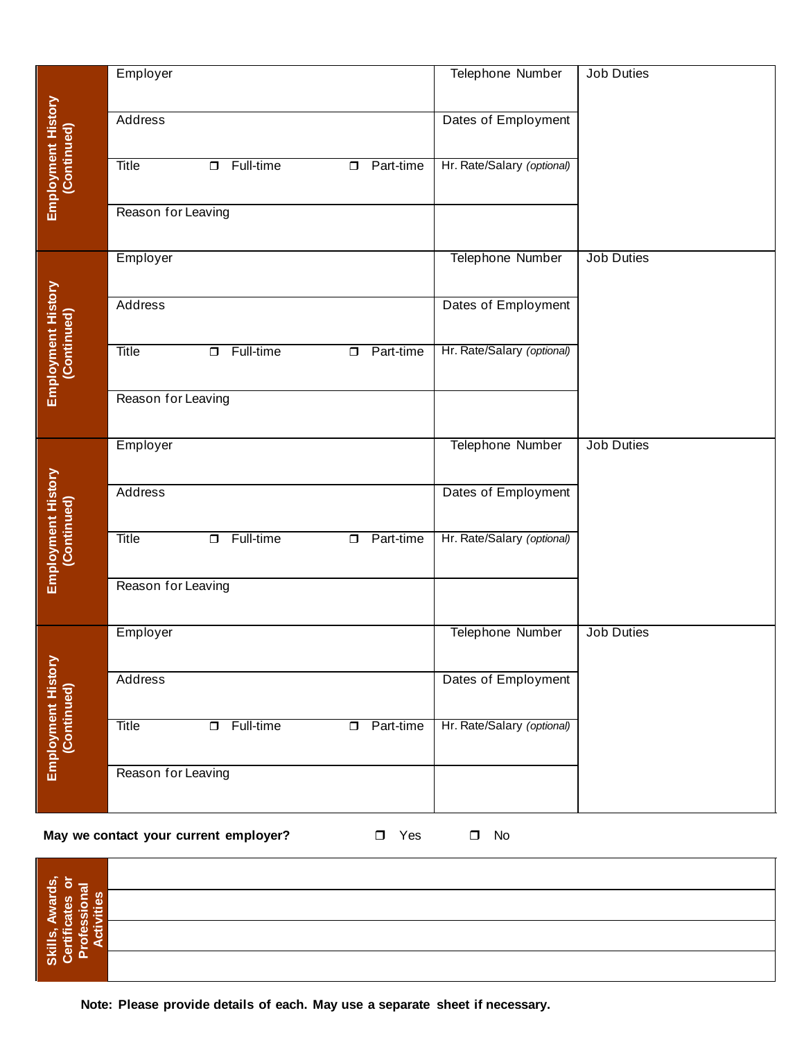|                                                                        | Employer                                                      |                                   |                     | Telephone Number                               | <b>Job Duties</b> |
|------------------------------------------------------------------------|---------------------------------------------------------------|-----------------------------------|---------------------|------------------------------------------------|-------------------|
|                                                                        |                                                               |                                   |                     |                                                |                   |
|                                                                        |                                                               |                                   |                     |                                                |                   |
|                                                                        | Address                                                       |                                   |                     | Dates of Employment                            |                   |
|                                                                        |                                                               |                                   |                     |                                                |                   |
|                                                                        |                                                               |                                   |                     |                                                |                   |
| Employment History<br>(Continued)                                      | Title                                                         | $\Box$ Full-time                  | Part-time<br>$\Box$ | Hr. Rate/Salary (optional)                     |                   |
|                                                                        |                                                               |                                   |                     |                                                |                   |
|                                                                        |                                                               |                                   |                     |                                                |                   |
|                                                                        | Reason for Leaving                                            |                                   |                     |                                                |                   |
|                                                                        |                                                               |                                   |                     |                                                |                   |
|                                                                        | Employer                                                      |                                   |                     | Telephone Number                               | Job Duties        |
|                                                                        |                                                               |                                   |                     |                                                |                   |
|                                                                        |                                                               |                                   |                     |                                                |                   |
|                                                                        | Address                                                       |                                   |                     | Dates of Employment                            |                   |
|                                                                        |                                                               |                                   |                     |                                                |                   |
|                                                                        |                                                               |                                   |                     |                                                |                   |
|                                                                        | Title                                                         | Full-time<br>$\Box$               | Part-time<br>$\Box$ | Hr. Rate/Salary (optional)                     |                   |
|                                                                        |                                                               |                                   |                     |                                                |                   |
| Employment History<br>(Continued)                                      | Reason for Leaving                                            |                                   |                     |                                                |                   |
|                                                                        |                                                               |                                   |                     |                                                |                   |
|                                                                        |                                                               |                                   |                     |                                                |                   |
|                                                                        | Employer                                                      |                                   |                     | <b>Telephone Number</b>                        | <b>Job Duties</b> |
|                                                                        |                                                               |                                   |                     |                                                |                   |
|                                                                        | Address                                                       |                                   |                     |                                                |                   |
|                                                                        |                                                               |                                   |                     | Dates of Employment                            |                   |
|                                                                        |                                                               |                                   |                     |                                                |                   |
|                                                                        | Title                                                         | Full-time<br>$\overline{\square}$ | <b>D</b> Part-time  | Hr. Rate/Salary (optional)                     |                   |
|                                                                        |                                                               |                                   |                     |                                                |                   |
|                                                                        |                                                               |                                   |                     |                                                |                   |
|                                                                        |                                                               |                                   |                     |                                                |                   |
|                                                                        |                                                               |                                   |                     |                                                |                   |
|                                                                        |                                                               |                                   |                     |                                                |                   |
|                                                                        |                                                               |                                   |                     |                                                |                   |
|                                                                        |                                                               |                                   |                     |                                                |                   |
|                                                                        | Address                                                       |                                   |                     | Dates of Employment                            |                   |
|                                                                        |                                                               |                                   |                     |                                                |                   |
|                                                                        |                                                               |                                   |                     |                                                |                   |
|                                                                        |                                                               |                                   |                     |                                                |                   |
|                                                                        |                                                               |                                   |                     |                                                |                   |
|                                                                        |                                                               |                                   |                     |                                                |                   |
|                                                                        |                                                               |                                   |                     |                                                |                   |
|                                                                        |                                                               |                                   |                     |                                                |                   |
| Employment History<br>(Continued)<br>Employment History<br>(Continued) | Reason for Leaving<br>Employer<br>Title<br>Reason for Leaving | Full-time<br>$\Box$               | Part-time<br>$\Box$ | Telephone Number<br>Hr. Rate/Salary (optional) | <b>Job Duties</b> |

## **May we contact your current employer?** <br>
T Yes 
I No

| <u>්සු</u><br>— ಹ                                                      |  |
|------------------------------------------------------------------------|--|
| y<br>ল<br>η<br>≍<br>œ<br>-<br>ဖိ<br>恩<br>$\overline{\phantom{0}}$<br>⋖ |  |
| ۵<br>Skills,<br>∊<br>۰<br>ត<br>►                                       |  |
|                                                                        |  |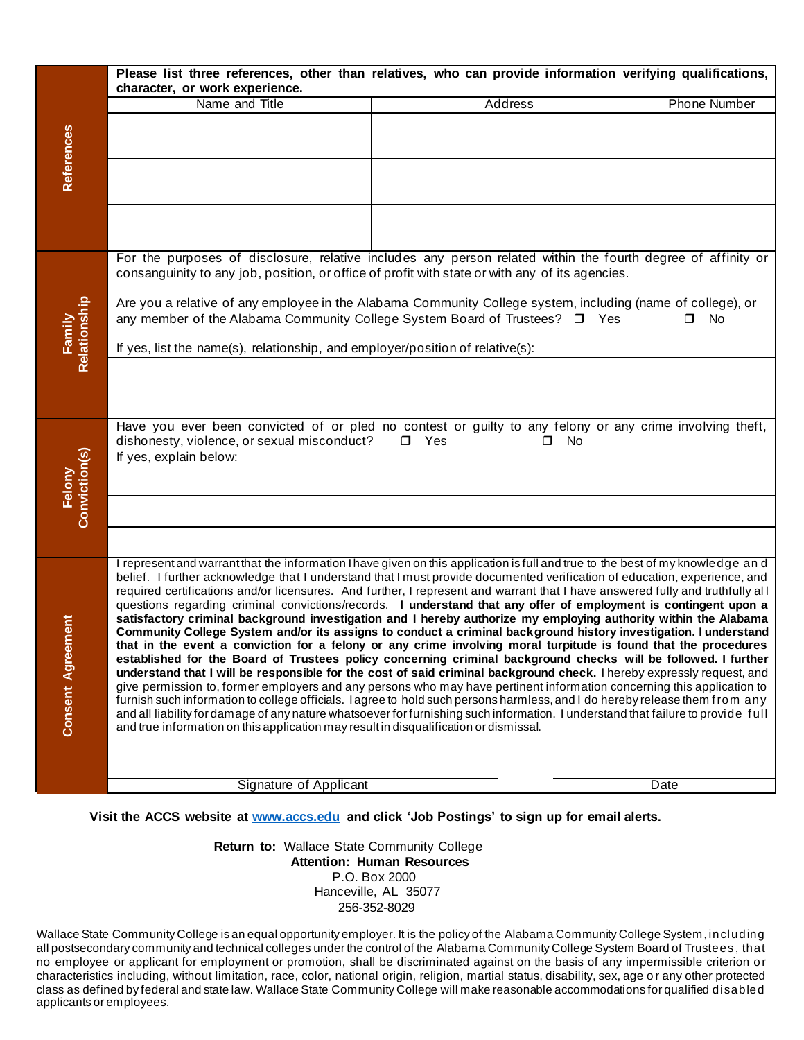|                              | Please list three references, other than relatives, who can provide information verifying qualifications,<br>character, or work experience.                                                                                                                                                                                                                                                                                                                                                                                                                                                                                                                                                                                                                                                                                                                                                                                                                                                                                                                                                                                                                                                                                                                                                                                                                                                                                                                                                                        |                                                                                                             |                     |  |  |  |  |
|------------------------------|--------------------------------------------------------------------------------------------------------------------------------------------------------------------------------------------------------------------------------------------------------------------------------------------------------------------------------------------------------------------------------------------------------------------------------------------------------------------------------------------------------------------------------------------------------------------------------------------------------------------------------------------------------------------------------------------------------------------------------------------------------------------------------------------------------------------------------------------------------------------------------------------------------------------------------------------------------------------------------------------------------------------------------------------------------------------------------------------------------------------------------------------------------------------------------------------------------------------------------------------------------------------------------------------------------------------------------------------------------------------------------------------------------------------------------------------------------------------------------------------------------------------|-------------------------------------------------------------------------------------------------------------|---------------------|--|--|--|--|
|                              | Name and Title                                                                                                                                                                                                                                                                                                                                                                                                                                                                                                                                                                                                                                                                                                                                                                                                                                                                                                                                                                                                                                                                                                                                                                                                                                                                                                                                                                                                                                                                                                     | <b>Address</b>                                                                                              | <b>Phone Number</b> |  |  |  |  |
| <b>References</b>            |                                                                                                                                                                                                                                                                                                                                                                                                                                                                                                                                                                                                                                                                                                                                                                                                                                                                                                                                                                                                                                                                                                                                                                                                                                                                                                                                                                                                                                                                                                                    |                                                                                                             |                     |  |  |  |  |
|                              |                                                                                                                                                                                                                                                                                                                                                                                                                                                                                                                                                                                                                                                                                                                                                                                                                                                                                                                                                                                                                                                                                                                                                                                                                                                                                                                                                                                                                                                                                                                    |                                                                                                             |                     |  |  |  |  |
|                              |                                                                                                                                                                                                                                                                                                                                                                                                                                                                                                                                                                                                                                                                                                                                                                                                                                                                                                                                                                                                                                                                                                                                                                                                                                                                                                                                                                                                                                                                                                                    |                                                                                                             |                     |  |  |  |  |
|                              | For the purposes of disclosure, relative includes any person related within the fourth degree of affinity or<br>consanguinity to any job, position, or office of profit with state or with any of its agencies.                                                                                                                                                                                                                                                                                                                                                                                                                                                                                                                                                                                                                                                                                                                                                                                                                                                                                                                                                                                                                                                                                                                                                                                                                                                                                                    |                                                                                                             |                     |  |  |  |  |
| Family<br>Relationship       | any member of the Alabama Community College System Board of Trustees? $\Box$ Yes                                                                                                                                                                                                                                                                                                                                                                                                                                                                                                                                                                                                                                                                                                                                                                                                                                                                                                                                                                                                                                                                                                                                                                                                                                                                                                                                                                                                                                   | Are you a relative of any employee in the Alabama Community College system, including (name of college), or | No<br>$\Box$        |  |  |  |  |
|                              | If yes, list the name(s), relationship, and employer/position of relative(s):                                                                                                                                                                                                                                                                                                                                                                                                                                                                                                                                                                                                                                                                                                                                                                                                                                                                                                                                                                                                                                                                                                                                                                                                                                                                                                                                                                                                                                      |                                                                                                             |                     |  |  |  |  |
|                              |                                                                                                                                                                                                                                                                                                                                                                                                                                                                                                                                                                                                                                                                                                                                                                                                                                                                                                                                                                                                                                                                                                                                                                                                                                                                                                                                                                                                                                                                                                                    |                                                                                                             |                     |  |  |  |  |
|                              |                                                                                                                                                                                                                                                                                                                                                                                                                                                                                                                                                                                                                                                                                                                                                                                                                                                                                                                                                                                                                                                                                                                                                                                                                                                                                                                                                                                                                                                                                                                    |                                                                                                             |                     |  |  |  |  |
|                              | Have you ever been convicted of or pled no contest or guilty to any felony or any crime involving theft,<br>dishonesty, violence, or sexual misconduct?<br>$\Box$ Yes<br>$\Box$ No<br>If yes, explain below:                                                                                                                                                                                                                                                                                                                                                                                                                                                                                                                                                                                                                                                                                                                                                                                                                                                                                                                                                                                                                                                                                                                                                                                                                                                                                                       |                                                                                                             |                     |  |  |  |  |
|                              |                                                                                                                                                                                                                                                                                                                                                                                                                                                                                                                                                                                                                                                                                                                                                                                                                                                                                                                                                                                                                                                                                                                                                                                                                                                                                                                                                                                                                                                                                                                    |                                                                                                             |                     |  |  |  |  |
| Felony<br>Conviction(s)      |                                                                                                                                                                                                                                                                                                                                                                                                                                                                                                                                                                                                                                                                                                                                                                                                                                                                                                                                                                                                                                                                                                                                                                                                                                                                                                                                                                                                                                                                                                                    |                                                                                                             |                     |  |  |  |  |
|                              |                                                                                                                                                                                                                                                                                                                                                                                                                                                                                                                                                                                                                                                                                                                                                                                                                                                                                                                                                                                                                                                                                                                                                                                                                                                                                                                                                                                                                                                                                                                    |                                                                                                             |                     |  |  |  |  |
| ement<br><b>Consent Agre</b> | I represent and warrant that the information I have given on this application is full and true to the best of my knowledge and<br>belief. I further acknowledge that I understand that I must provide documented verification of education, experience, and<br>required certifications and/or licensures. And further, I represent and warrant that I have answered fully and truthfully all<br>questions regarding criminal convictions/records. I understand that any offer of employment is contingent upon a<br>satisfactory criminal background investigation and I hereby authorize my employing authority within the Alabama<br>Community College System and/or its assigns to conduct a criminal background history investigation. I understand<br>that in the event a conviction for a felony or any crime involving moral turpitude is found that the procedures<br>established for the Board of Trustees policy concerning criminal background checks will be followed. I further<br>understand that I will be responsible for the cost of said criminal background check. I hereby expressly request, and<br>give permission to, former employers and any persons who may have pertinent information concerning this application to<br>furnish such information to college officials. I agree to hold such persons harmless, and I do hereby release them from any<br>and all liability for damage of any nature whatsoever for furnishing such information. I understand that failure to provide full |                                                                                                             |                     |  |  |  |  |
|                              | and true information on this application may result in disqualification or dismissal.                                                                                                                                                                                                                                                                                                                                                                                                                                                                                                                                                                                                                                                                                                                                                                                                                                                                                                                                                                                                                                                                                                                                                                                                                                                                                                                                                                                                                              |                                                                                                             |                     |  |  |  |  |
|                              | Signature of Applicant                                                                                                                                                                                                                                                                                                                                                                                                                                                                                                                                                                                                                                                                                                                                                                                                                                                                                                                                                                                                                                                                                                                                                                                                                                                                                                                                                                                                                                                                                             |                                                                                                             | Date                |  |  |  |  |

**Visit the ACCS website at www.accs.edu and click 'Job Postings' to sign up for email alerts.**

**Return to:** Wallace State Community College **Attention: Human Resources** P.O. Box 2000 Hanceville, AL 35077 256-352-8029

Wallace State Community College is an equal opportunity employer. It is the policy of the Alabama Community College System, including all postsecondary community and technical colleges under the control of the Alabama Community College System Board of Trustees , that no employee or applicant for employment or promotion, shall be discriminated against on the basis of any impermissible criterion o r characteristics including, without limitation, race, color, national origin, religion, martial status, disability, sex, age o r any other protected class as defined by federal and state law. Wallace State Community College will make reasonable accommodations for qualified disabled applicants or employees.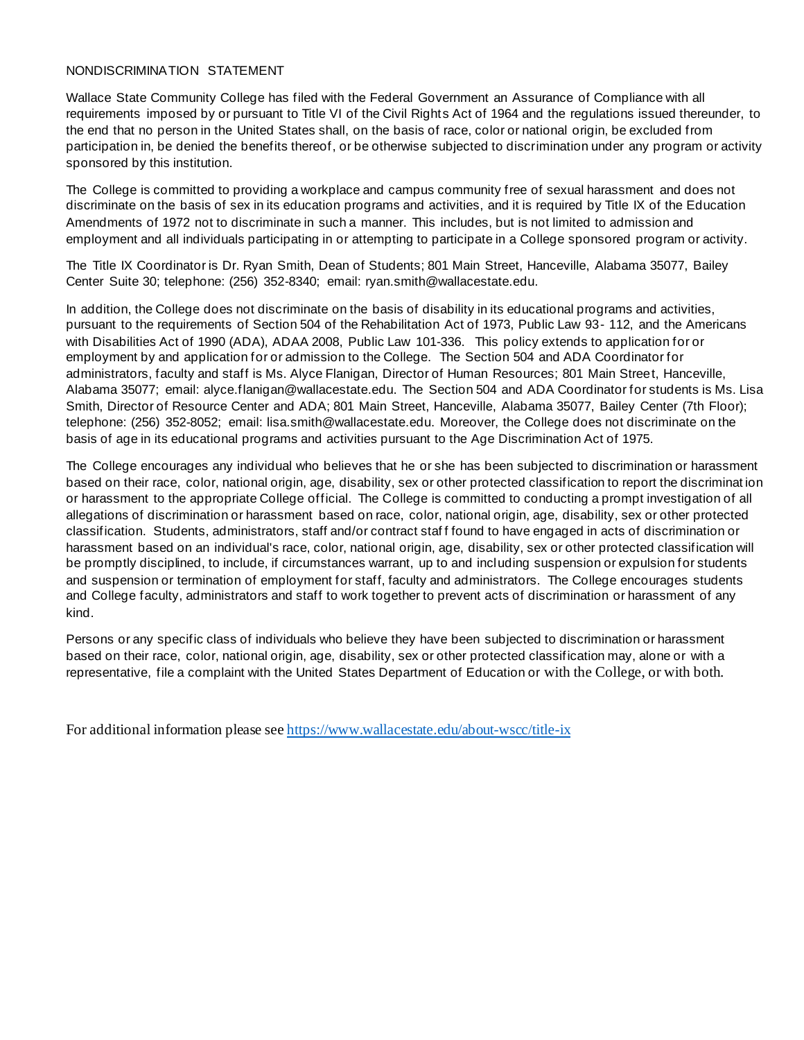## NONDISCRIMINATION STATEMENT

Wallace State Community College has filed with the Federal Government an Assurance of Compliance with all requirements imposed by or pursuant to Title VI of the Civil Rights Act of 1964 and the regulations issued thereunder, to the end that no person in the United States shall, on the basis of race, color or national origin, be excluded from participation in, be denied the benefits thereof, or be otherwise subjected to discrimination under any program or activity sponsored by this institution.

The College is committed to providing a workplace and campus community free of sexual harassment and does not discriminate on the basis of sex in its education programs and activities, and it is required by Title IX of the Education Amendments of 1972 not to discriminate in such a manner. This includes, but is not limited to admission and employment and all individuals participating in or attempting to participate in a College sponsored program or activity.

The Title IX Coordinator is Dr. Ryan Smith, Dean of Students; 801 Main Street, Hanceville, Alabama 35077, Bailey Center Suite 30; telephone: (256) 352-8340; email: ryan.smith@wallacestate.edu.

In addition, the College does not discriminate on the basis of disability in its educational programs and activities, pursuant to the requirements of Section 504 of the Rehabilitation Act of 1973, Public Law 93- 112, and the Americans with Disabilities Act of 1990 (ADA), ADAA 2008, Public Law 101-336. This policy extends to application for or employment by and application for or admission to the College. The Section 504 and ADA Coordinator for administrators, faculty and staff is Ms. Alyce Flanigan, Director of Human Resources; 801 Main Street, Hanceville, Alabama 35077; email: alyce.flanigan@wallacestate.edu. The Section 504 and ADA Coordinator for students is Ms. Lisa Smith, Director of Resource Center and ADA; 801 Main Street, Hanceville, Alabama 35077, Bailey Center (7th Floor); telephone: (256) 352-8052; email: lisa.smith@wallacestate.edu. Moreover, the College does not discriminate on the basis of age in its educational programs and activities pursuant to the Age Discrimination Act of 1975.

The College encourages any individual who believes that he or she has been subjected to discrimination or harassment based on their race, color, national origin, age, disability, sex or other protected classification to report the discriminat ion or harassment to the appropriate College official. The College is committed to conducting a prompt investigation of all allegations of discrimination or harassment based on race, color, national origin, age, disability, sex or other protected classification. Students, administrators, staff and/or contract staf f found to have engaged in acts of discrimination or harassment based on an individual's race, color, national origin, age, disability, sex or other protected classification will be promptly disciplined, to include, if circumstances warrant, up to and including suspension or expulsion for students and suspension or termination of employment for staff, faculty and administrators. The College encourages students and College faculty, administrators and staff to work together to prevent acts of discrimination or harassment of any kind.

Persons or any specific class of individuals who believe they have been subjected to discrimination or harassment based on their race, color, national origin, age, disability, sex or other protected classification may, alone or with a representative, file a complaint with the United States Department of Education or with the College, or with both.

For additional information please see https://www.wallacestate.edu/about-wscc/title-ix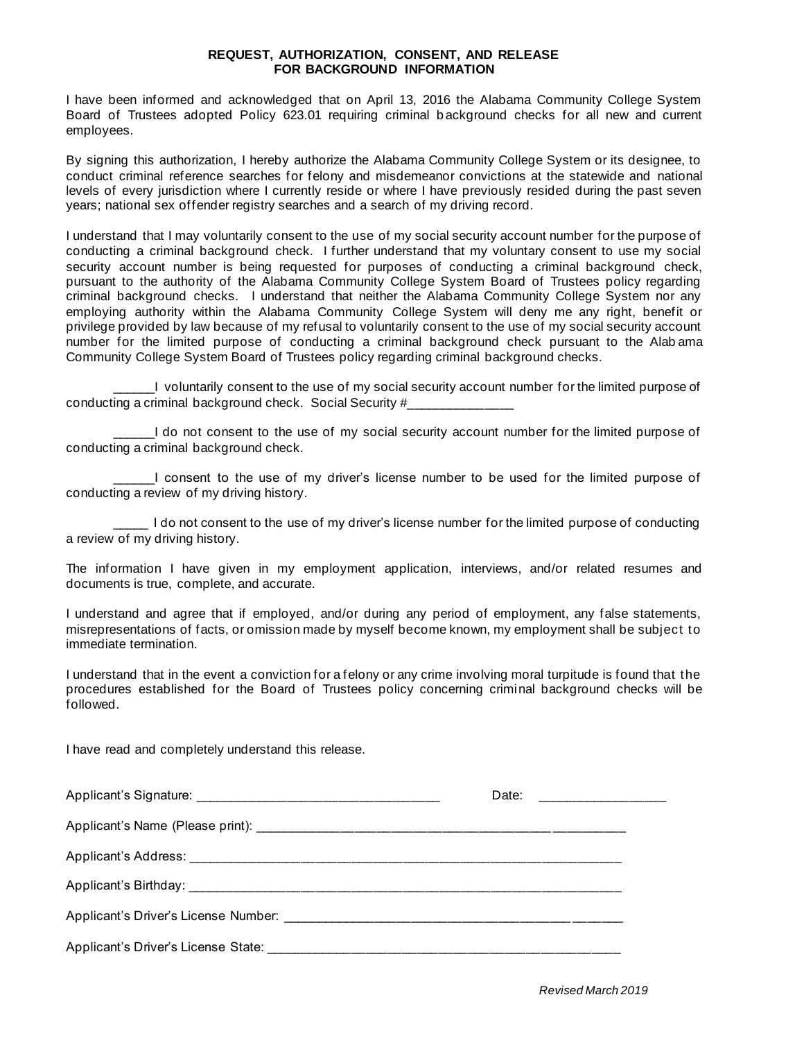## **REQUEST, AUTHORIZATION, CONSENT, AND RELEASE FOR BACKGROUND INFORMATION**

I have been informed and acknowledged that on April 13, 2016 the Alabama Community College System Board of Trustees adopted Policy 623.01 requiring criminal b ackground checks for all new and current employees.

By signing this authorization, I hereby authorize the Alabama Community College System or its designee, to conduct criminal reference searches for felony and misdemeanor convictions at the statewide and national levels of every jurisdiction where I currently reside or where I have previously resided during the past seven years; national sex offender registry searches and a search of my driving record.

I understand that I may voluntarily consent to the use of my social security account number for the purpose of conducting a criminal background check. I further understand that my voluntary consent to use my social security account number is being requested for purposes of conducting a criminal background check, pursuant to the authority of the Alabama Community College System Board of Trustees policy regarding criminal background checks. I understand that neither the Alabama Community College System nor any employing authority within the Alabama Community College System will deny me any right, benefit or privilege provided by law because of my refusal to voluntarily consent to the use of my social security account number for the limited purpose of conducting a criminal background check pursuant to the Alab ama Community College System Board of Trustees policy regarding criminal background checks.

\_\_\_\_\_\_I voluntarily consent to the use of my social security account number for the limited purpose of conducting a criminal background check. Social Security #\_\_\_\_\_\_\_\_\_\_\_\_\_\_\_

I do not consent to the use of my social security account number for the limited purpose of conducting a criminal background check.

I consent to the use of my driver's license number to be used for the limited purpose of conducting a review of my driving history.

\_\_\_\_\_ I do not consent to the use of my driver's license number for the limited purpose of conducting a review of my driving history.

The information I have given in my employment application, interviews, and/or related resumes and documents is true, complete, and accurate.

I understand and agree that if employed, and/or during any period of employment, any false statements, misrepresentations of facts, or omission made by myself become known, my employment shall be subject to immediate termination.

I understand that in the event a conviction for a felony or any crime involving moral turpitude is found that the procedures established for the Board of Trustees policy concerning criminal background checks will be followed.

I have read and completely understand this release.

|  | Date: __________________ |  |  |  |
|--|--------------------------|--|--|--|
|  |                          |  |  |  |
|  |                          |  |  |  |
|  |                          |  |  |  |
|  |                          |  |  |  |
|  |                          |  |  |  |